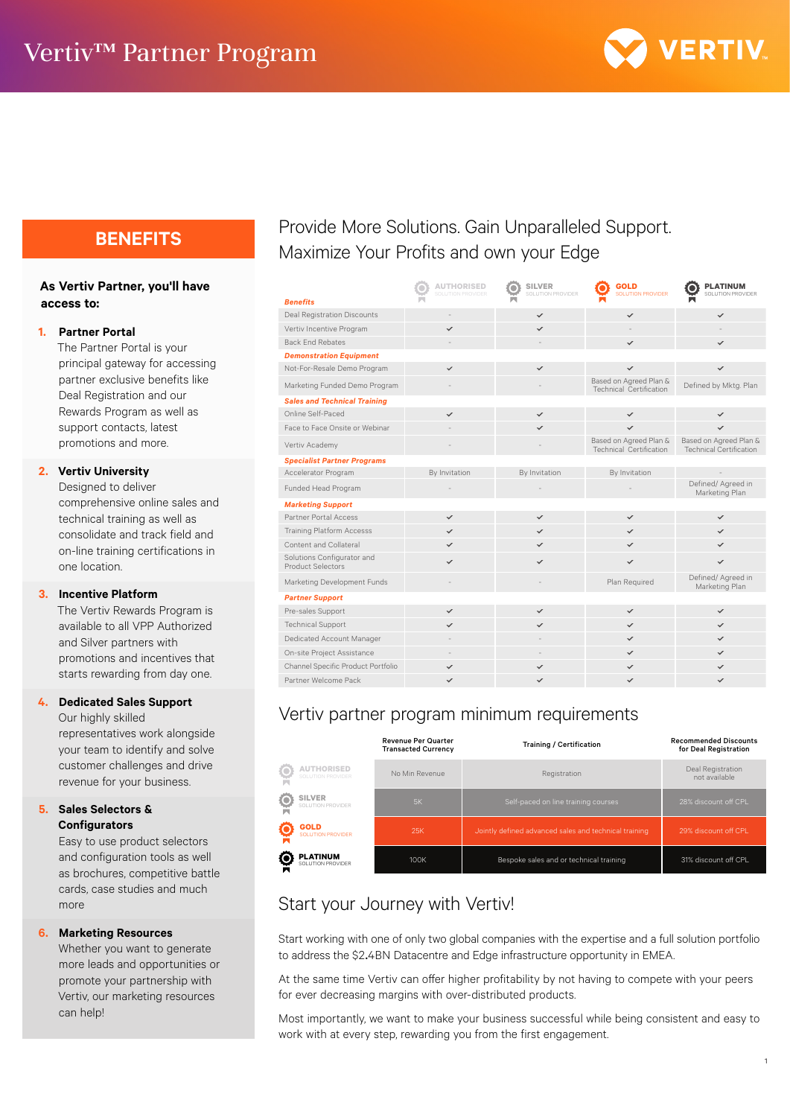

### **As Vertiv Partner, you'll have access to:**

#### **1. Partner Portal**

The Partner Portal is your principal gateway for accessing partner exclusive benefits like Deal Registration and our Rewards Program as well as support contacts, latest promotions and more.

### **2. Vertiv University**

Designed to deliver comprehensive online sales and technical training as well as consolidate and track field and on-line training certifications in one location.

#### **3. Incentive Platform**

The Vertiv Rewards Program is available to all VPP Authorized and Silver partners with promotions and incentives that starts rewarding from day one.

#### **4. Dedicated Sales Support**

Our highly skilled representatives work alongside your team to identify and solve customer challenges and drive revenue for your business.

#### **5. Sales Selectors & Configurators**

Easy to use product selectors and configuration tools as well as brochures, competitive battle cards, case studies and much more

#### **6. Marketing Resources**

Whether you want to generate more leads and opportunities or promote your partnership with Vertiv, our marketing resources can help!

# **BENEFITS** Provide More Solutions. Gain Unparalleled Support. Maximize Your Profits and own your Edge

| <b>Renefits</b>                                 | <b>AUTHORISED</b><br><b>SOLUTION PROVIDER</b> | <b>SILVER</b><br>SOLUTION PROVIDER | <b>GOLD</b><br><b>SOLUTION PROVIDER</b>           | <b>PLATINUM</b><br>SOLUTION PROVIDER                     |
|-------------------------------------------------|-----------------------------------------------|------------------------------------|---------------------------------------------------|----------------------------------------------------------|
| <b>Deal Registration Discounts</b>              |                                               | $\checkmark$                       | $\checkmark$                                      | $\checkmark$                                             |
| Vertiv Incentive Program                        |                                               |                                    |                                                   |                                                          |
| <b>Back End Rebates</b>                         |                                               |                                    | ✓                                                 | ✓                                                        |
| <b>Demonstration Equipment</b>                  |                                               |                                    |                                                   |                                                          |
| Not-For-Resale Demo Program                     | $\checkmark$                                  | $\checkmark$                       | $\checkmark$                                      | $\checkmark$                                             |
| Marketing Funded Demo Program                   |                                               |                                    | Based on Agreed Plan &<br>Technical Certification | Defined by Mktg. Plan                                    |
| <b>Sales and Technical Training</b>             |                                               |                                    |                                                   |                                                          |
| Online Self-Paced                               | ✓                                             | $\checkmark$                       | $\checkmark$                                      | $\checkmark$                                             |
| Face to Face Onsite or Webinar                  |                                               |                                    | ✓                                                 |                                                          |
| Vertiv Academy                                  |                                               |                                    | Based on Agreed Plan &<br>Technical Certification | Based on Agreed Plan &<br><b>Technical Certification</b> |
| <b>Specialist Partner Programs</b>              |                                               |                                    |                                                   |                                                          |
| Accelerator Program                             | By Invitation                                 | By Invitation                      | By Invitation                                     |                                                          |
| Funded Head Program                             |                                               |                                    |                                                   | Defined/ Agreed in<br>Marketing Plan                     |
| <b>Marketing Support</b>                        |                                               |                                    |                                                   |                                                          |
| Partner Portal Access                           | $\checkmark$                                  | $\checkmark$                       | $\checkmark$                                      | $\checkmark$                                             |
| <b>Training Platform Accesss</b>                | ✓                                             | $\checkmark$                       | ✓                                                 | $\checkmark$                                             |
| Content and Collateral                          | ✓                                             | ✓                                  | ✓                                                 | ✓                                                        |
| Solutions Configurator and<br>Product Selectors | ✓                                             | ✓                                  |                                                   |                                                          |
| Marketing Development Funds                     |                                               |                                    | Plan Required                                     | Defined/ Agreed in<br>Marketing Plan                     |
| <b>Partner Support</b>                          |                                               |                                    |                                                   |                                                          |
| Pre-sales Support                               | ✓                                             | ✓                                  | $\checkmark$                                      | $\checkmark$                                             |
| <b>Technical Support</b>                        |                                               |                                    | ✓                                                 | ✓                                                        |
| Dedicated Account Manager                       |                                               |                                    | ✓                                                 | ✓                                                        |
| On-site Project Assistance                      |                                               |                                    | ✓                                                 | ✓                                                        |
| Channel Specific Product Portfolio              | ✓                                             |                                    | ✓                                                 |                                                          |
| Partner Welcome Pack                            | $\checkmark$                                  | ✓                                  | $\checkmark$                                      | $\checkmark$                                             |
|                                                 |                                               |                                    |                                                   |                                                          |

# Vertiv partner program minimum requirements

|                                                               | <b>Revenue Per Quarter</b><br><b>Transacted Currency</b> | <b>Training / Certification</b>                       | <b>Recommended Discounts</b><br>for Deal Registration |
|---------------------------------------------------------------|----------------------------------------------------------|-------------------------------------------------------|-------------------------------------------------------|
| <b>AUTHORISED</b><br>€<br>SOLUTION PROVIDER                   | No Min Revenue                                           | Registration                                          | Deal Registration<br>not available                    |
| $\overline{\mathbf{O}}$<br><b>SILVER</b><br>SOLUTION PROVIDER | 5K                                                       | Self-paced on line training courses                   | 28% discount off CPL                                  |
| <u>Ö</u><br><b>GOLD</b><br><b>SOLUTION PROVIDER</b>           | <b>25K</b>                                               | Jointly defined advanced sales and technical training | 29% discount off CPL                                  |
| Ö<br><b>PLATINUM</b><br>SOLUTION PROVIDER<br>Ñ                | 100K                                                     | Bespoke sales and or technical training               | 31% discount off CPL                                  |

# Start your Journey with Vertiv!

Start working with one of only two global companies with the expertise and a full solution portfolio to address the \$2.4BN Datacentre and Edge infrastructure opportunity in EMEA.

At the same time Vertiv can offer higher profitability by not having to compete with your peers for ever decreasing margins with over-distributed products.

Most importantly, we want to make your business successful while being consistent and easy to work with at every step, rewarding you from the first engagement.